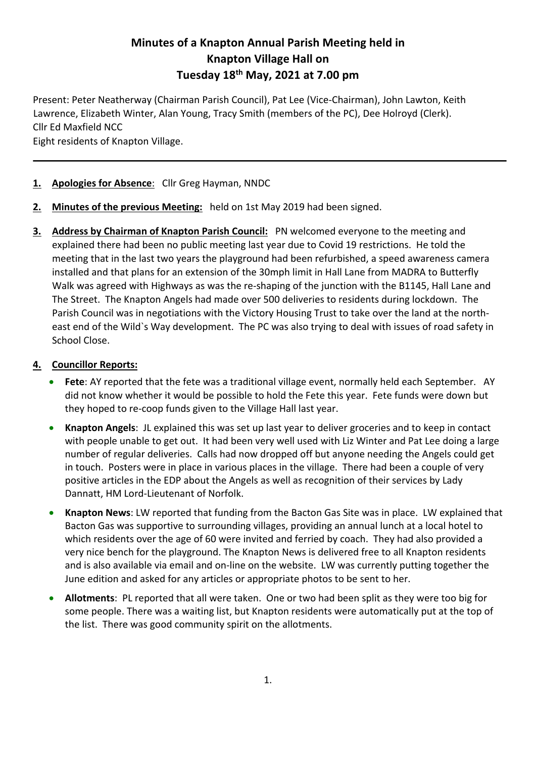# **Minutes of a Knapton Annual Parish Meeting held in Knapton Village Hall on Tuesday 18th May, 2021 at 7.00 pm**

Present: Peter Neatherway (Chairman Parish Council), Pat Lee (Vice-Chairman), John Lawton, Keith Lawrence, Elizabeth Winter, Alan Young, Tracy Smith (members of the PC), Dee Holroyd (Clerk). Cllr Ed Maxfield NCC

Eight residents of Knapton Village.

## **1. Apologies for Absence**: Cllr Greg Hayman, NNDC

- **2. Minutes of the previous Meeting:** held on 1st May 2019 had been signed.
- **3. Address by Chairman of Knapton Parish Council:** PN welcomed everyone to the meeting and explained there had been no public meeting last year due to Covid 19 restrictions. He told the meeting that in the last two years the playground had been refurbished, a speed awareness camera installed and that plans for an extension of the 30mph limit in Hall Lane from MADRA to Butterfly Walk was agreed with Highways as was the re-shaping of the junction with the B1145, Hall Lane and The Street. The Knapton Angels had made over 500 deliveries to residents during lockdown. The Parish Council was in negotiations with the Victory Housing Trust to take over the land at the northeast end of the Wild`s Way development. The PC was also trying to deal with issues of road safety in School Close.

### **4. Councillor Reports:**

- **Fete**: AY reported that the fete was a traditional village event, normally held each September. AY did not know whether it would be possible to hold the Fete this year. Fete funds were down but they hoped to re-coop funds given to the Village Hall last year.
- **Knapton Angels**: JL explained this was set up last year to deliver groceries and to keep in contact with people unable to get out. It had been very well used with Liz Winter and Pat Lee doing a large number of regular deliveries. Calls had now dropped off but anyone needing the Angels could get in touch. Posters were in place in various places in the village. There had been a couple of very positive articles in the EDP about the Angels as well as recognition of their services by Lady Dannatt, HM Lord-Lieutenant of Norfolk.
- **Knapton News**: LW reported that funding from the Bacton Gas Site was in place. LW explained that Bacton Gas was supportive to surrounding villages, providing an annual lunch at a local hotel to which residents over the age of 60 were invited and ferried by coach. They had also provided a very nice bench for the playground. The Knapton News is delivered free to all Knapton residents and is also available via email and on-line on the website. LW was currently putting together the June edition and asked for any articles or appropriate photos to be sent to her.
- **Allotments**: PL reported that all were taken. One or two had been split as they were too big for some people. There was a waiting list, but Knapton residents were automatically put at the top of the list. There was good community spirit on the allotments.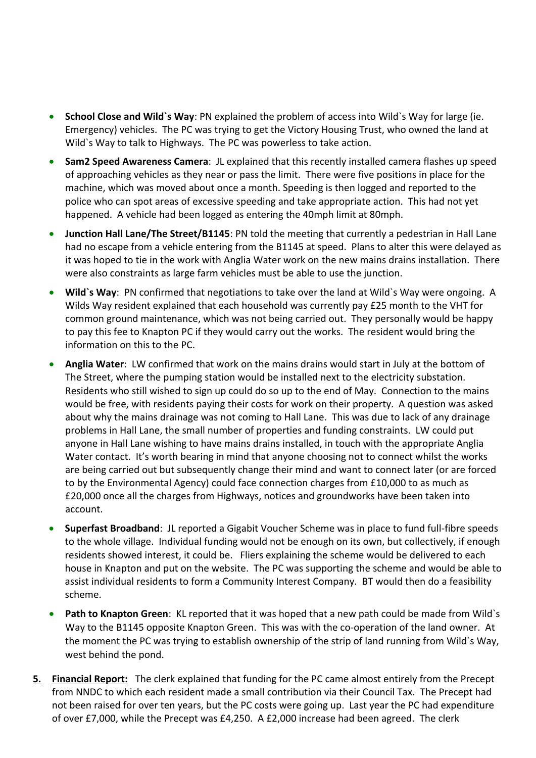- **School Close and Wild`s Way**: PN explained the problem of access into Wild`s Way for large (ie. Emergency) vehicles. The PC was trying to get the Victory Housing Trust, who owned the land at Wild`s Way to talk to Highways. The PC was powerless to take action.
- **Sam2 Speed Awareness Camera**: JL explained that this recently installed camera flashes up speed of approaching vehicles as they near or pass the limit. There were five positions in place for the machine, which was moved about once a month. Speeding is then logged and reported to the police who can spot areas of excessive speeding and take appropriate action. This had not yet happened. A vehicle had been logged as entering the 40mph limit at 80mph.
- **Junction Hall Lane/The Street/B1145**: PN told the meeting that currently a pedestrian in Hall Lane had no escape from a vehicle entering from the B1145 at speed. Plans to alter this were delayed as it was hoped to tie in the work with Anglia Water work on the new mains drains installation. There were also constraints as large farm vehicles must be able to use the junction.
- **Wild`s Way**: PN confirmed that negotiations to take over the land at Wild`s Way were ongoing. A Wilds Way resident explained that each household was currently pay £25 month to the VHT for common ground maintenance, which was not being carried out. They personally would be happy to pay this fee to Knapton PC if they would carry out the works. The resident would bring the information on this to the PC.
- **Anglia Water**: LW confirmed that work on the mains drains would start in July at the bottom of The Street, where the pumping station would be installed next to the electricity substation. Residents who still wished to sign up could do so up to the end of May. Connection to the mains would be free, with residents paying their costs for work on their property. A question was asked about why the mains drainage was not coming to Hall Lane. This was due to lack of any drainage problems in Hall Lane, the small number of properties and funding constraints. LW could put anyone in Hall Lane wishing to have mains drains installed, in touch with the appropriate Anglia Water contact. It's worth bearing in mind that anyone choosing not to connect whilst the works are being carried out but subsequently change their mind and want to connect later (or are forced to by the Environmental Agency) could face connection charges from £10,000 to as much as £20,000 once all the charges from Highways, notices and groundworks have been taken into account.
- **Superfast Broadband**: JL reported a Gigabit Voucher Scheme was in place to fund full-fibre speeds to the whole village. Individual funding would not be enough on its own, but collectively, if enough residents showed interest, it could be. Fliers explaining the scheme would be delivered to each house in Knapton and put on the website. The PC was supporting the scheme and would be able to assist individual residents to form a Community Interest Company. BT would then do a feasibility scheme.
- **Path to Knapton Green**: KL reported that it was hoped that a new path could be made from Wild`s Way to the B1145 opposite Knapton Green. This was with the co-operation of the land owner. At the moment the PC was trying to establish ownership of the strip of land running from Wild`s Way, west behind the pond.
- **5. Financial Report:** The clerk explained that funding for the PC came almost entirely from the Precept from NNDC to which each resident made a small contribution via their Council Tax. The Precept had not been raised for over ten years, but the PC costs were going up. Last year the PC had expenditure of over £7,000, while the Precept was £4,250. A £2,000 increase had been agreed. The clerk